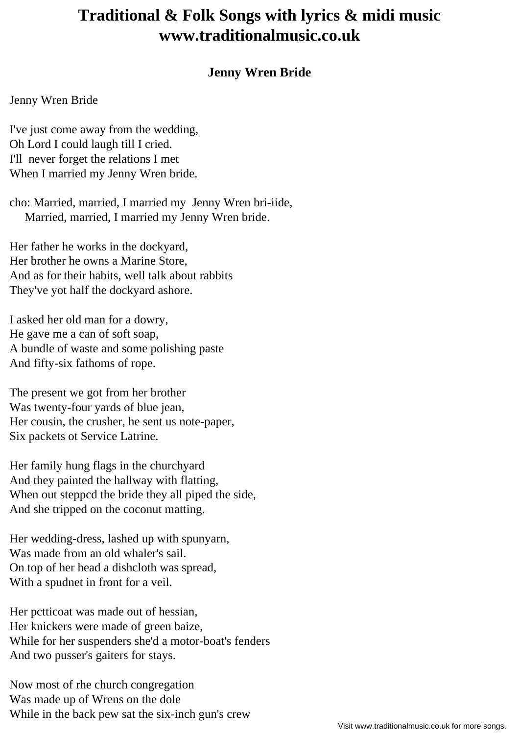## **Traditional & Folk Songs with lyrics & midi music www.traditionalmusic.co.uk**

## **Jenny Wren Bride**

## Jenny Wren Bride

I've just come away from the wedding, Oh Lord I could laugh till I cried. I'll never forget the relations I met When I married my Jenny Wren bride.

cho: Married, married, I married my Jenny Wren bri-iide, Married, married, I married my Jenny Wren bride.

Her father he works in the dockyard, Her brother he owns a Marine Store, And as for their habits, well talk about rabbits They've yot half the dockyard ashore.

I asked her old man for a dowry, He gave me a can of soft soap, A bundle of waste and some polishing paste And fifty-six fathoms of rope.

The present we got from her brother Was twenty-four yards of blue jean, Her cousin, the crusher, he sent us note-paper, Six packets ot Service Latrine.

Her family hung flags in the churchyard And they painted the hallway with flatting, When out steppcd the bride they all piped the side, And she tripped on the coconut matting.

Her wedding-dress, lashed up with spunyarn, Was made from an old whaler's sail. On top of her head a dishcloth was spread, With a spudnet in front for a veil.

Her pctticoat was made out of hessian, Her knickers were made of green baize, While for her suspenders she'd a motor-boat's fenders And two pusser's gaiters for stays.

Now most of rhe church congregation Was made up of Wrens on the dole While in the back pew sat the six-inch gun's crew